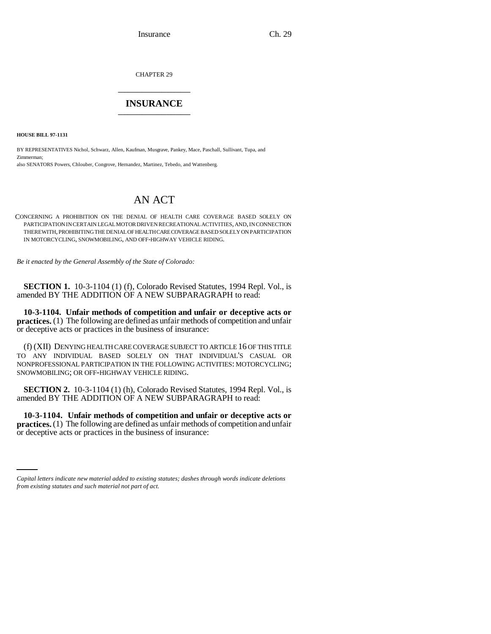CHAPTER 29 \_\_\_\_\_\_\_\_\_\_\_\_\_\_\_

## **INSURANCE** \_\_\_\_\_\_\_\_\_\_\_\_\_\_\_

**HOUSE BILL 97-1131**

BY REPRESENTATIVES Nichol, Schwarz, Allen, Kaufman, Musgrave, Pankey, Mace, Paschall, Sullivant, Tupa, and Zimmerman; also SENATORS Powers, Chlouber, Congrove, Hernandez, Martinez, Tebedo, and Wattenberg.

## AN ACT

CONCERNING A PROHIBITION ON THE DENIAL OF HEALTH CARE COVERAGE BASED SOLELY ON PARTICIPATION IN CERTAIN LEGAL MOTOR DRIVEN RECREATIONAL ACTIVITIES, AND, IN CONNECTION THEREWITH, PROHIBITING THE DENIAL OF HEALTH CARE COVERAGE BASED SOLELY ON PARTICIPATION IN MOTORCYCLING, SNOWMOBILING, AND OFF-HIGHWAY VEHICLE RIDING.

*Be it enacted by the General Assembly of the State of Colorado:*

**SECTION 1.** 10-3-1104 (1) (f), Colorado Revised Statutes, 1994 Repl. Vol., is amended BY THE ADDITION OF A NEW SUBPARAGRAPH to read:

**10-3-1104. Unfair methods of competition and unfair or deceptive acts or practices.** (1) The following are defined as unfair methods of competition and unfair or deceptive acts or practices in the business of insurance:

(f) (XII) DENYING HEALTH CARE COVERAGE SUBJECT TO ARTICLE 16 OF THIS TITLE TO ANY INDIVIDUAL BASED SOLELY ON THAT INDIVIDUAL'S CASUAL OR NONPROFESSIONAL PARTICIPATION IN THE FOLLOWING ACTIVITIES: MOTORCYCLING; SNOWMOBILING; OR OFF-HIGHWAY VEHICLE RIDING.

**SECTION 2.** 10-3-1104 (1) (h), Colorado Revised Statutes, 1994 Repl. Vol., is amended BY THE ADDITION OF A NEW SUBPARAGRAPH to read:

practices. (1) The following are defined as unfair methods<br>or deceptive acts or practices in the business of insurance: **10-3-1104. Unfair methods of competition and unfair or deceptive acts or practices.** (1) The following are defined as unfair methods of competition and unfair

*Capital letters indicate new material added to existing statutes; dashes through words indicate deletions from existing statutes and such material not part of act.*